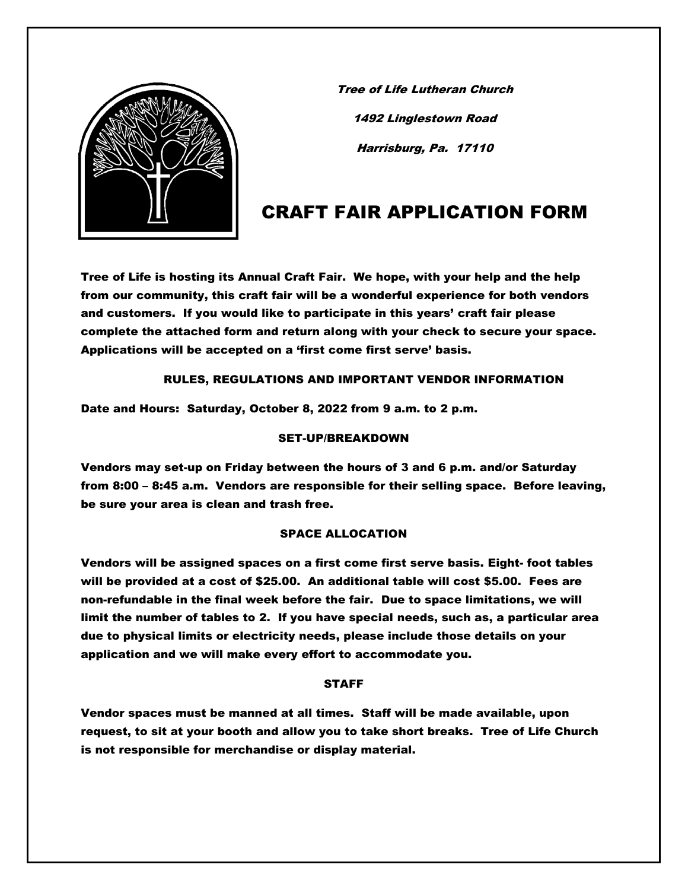

Tree of Life Lutheran Church 1492 Linglestown Road Harrisburg, Pa. 17110

# CRAFT FAIR APPLICATION FORM

Tree of Life is hosting its Annual Craft Fair. We hope, with your help and the help from our community, this craft fair will be a wonderful experience for both vendors and customers. If you would like to participate in this years' craft fair please complete the attached form and return along with your check to secure your space. Applications will be accepted on a 'first come first serve' basis.

# RULES, REGULATIONS AND IMPORTANT VENDOR INFORMATION

Date and Hours: Saturday, October 8, 2022 from 9 a.m. to 2 p.m.

# SET-UP/BREAKDOWN

Vendors may set-up on Friday between the hours of 3 and 6 p.m. and/or Saturday from 8:00 – 8:45 a.m. Vendors are responsible for their selling space. Before leaving, be sure your area is clean and trash free.

# SPACE ALLOCATION

Vendors will be assigned spaces on a first come first serve basis. Eight- foot tables will be provided at a cost of \$25.00. An additional table will cost \$5.00. Fees are non-refundable in the final week before the fair. Due to space limitations, we will limit the number of tables to 2. If you have special needs, such as, a particular area due to physical limits or electricity needs, please include those details on your application and we will make every effort to accommodate you.

### **STAFF**

Vendor spaces must be manned at all times. Staff will be made available, upon request, to sit at your booth and allow you to take short breaks. Tree of Life Church is not responsible for merchandise or display material.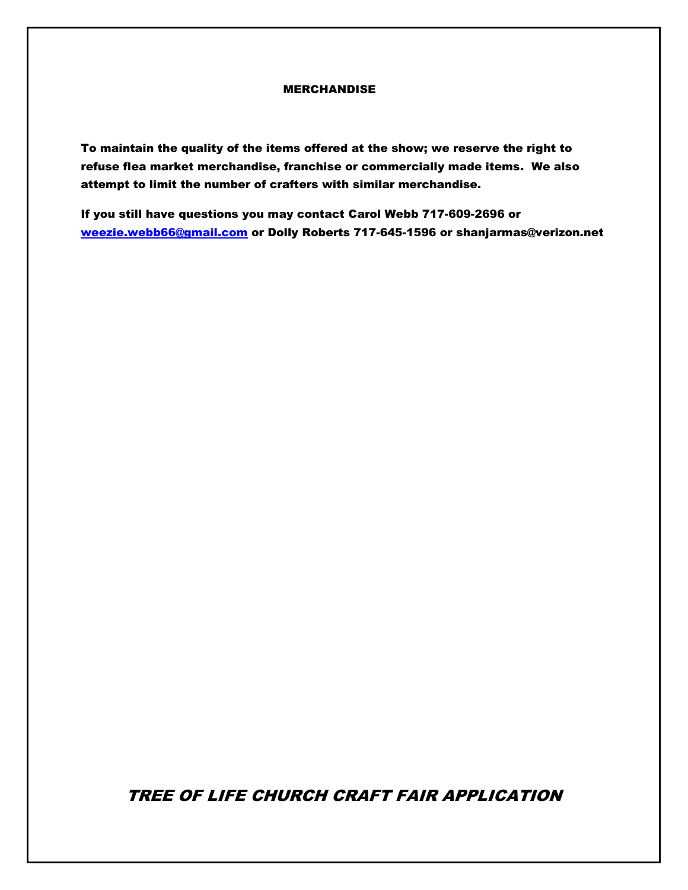#### MERCHANDISE

To maintain the quality of the items offered at the show; we reserve the right to refuse flea market merchandise, franchise or commercially made items. We also attempt to limit the number of crafters with similar merchandise.

If you still have questions you may contact Carol Webb 717-609-2696 or [weezie.webb66@gmail.com](mailto:weezie.webb66@gmail.com) or Dolly Roberts 717-645-1596 or shanjarmas@verizon.net

TREE OF LIFE CHURCH CRAFT FAIR APPLICATION